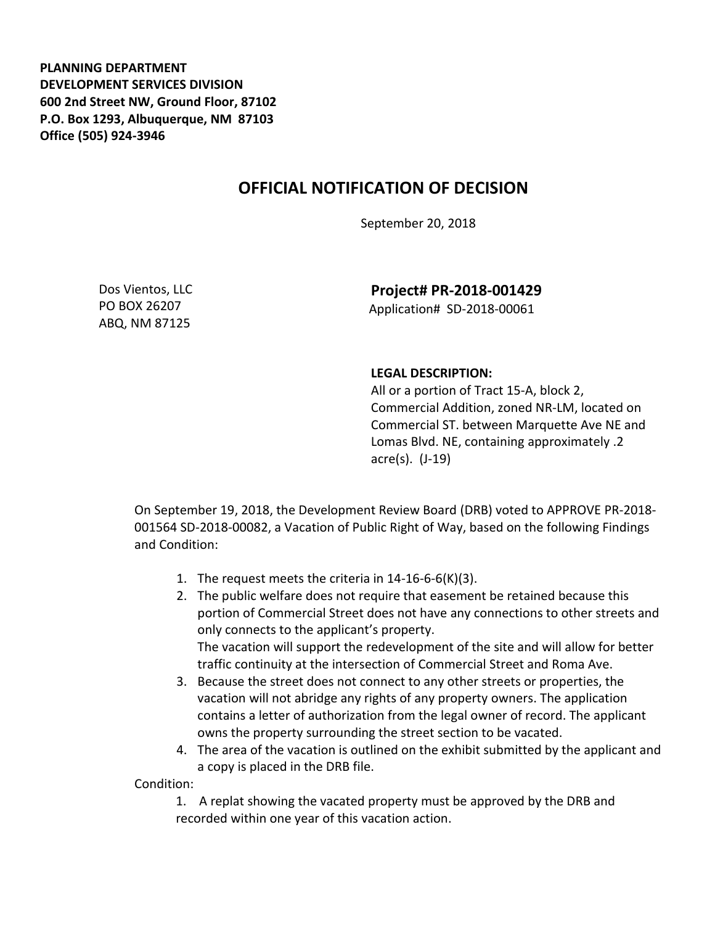**PLANNING DEPARTMENT DEVELOPMENT SERVICES DIVISION 600 2nd Street NW, Ground Floor, 87102 P.O. Box 1293, Albuquerque, NM 87103 Office (505) 924-3946** 

## **OFFICIAL NOTIFICATION OF DECISION**

September 20, 2018

Dos Vientos, LLC PO BOX 26207 ABQ, NM 87125

**Project# PR-2018-001429** Application# SD-2018-00061

## **LEGAL DESCRIPTION:**

All or a portion of Tract 15-A, block 2, Commercial Addition, zoned NR-LM, located on Commercial ST. between Marquette Ave NE and Lomas Blvd. NE, containing approximately .2 acre(s). (J-19)

On September 19, 2018, the Development Review Board (DRB) voted to APPROVE PR-2018- 001564 SD-2018-00082, a Vacation of Public Right of Way, based on the following Findings and Condition:

- 1. The request meets the criteria in 14-16-6-6(K)(3).
- 2. The public welfare does not require that easement be retained because this portion of Commercial Street does not have any connections to other streets and only connects to the applicant's property. The vacation will support the redevelopment of the site and will allow for better traffic continuity at the intersection of Commercial Street and Roma Ave.
- 3. Because the street does not connect to any other streets or properties, the vacation will not abridge any rights of any property owners. The application contains a letter of authorization from the legal owner of record. The applicant owns the property surrounding the street section to be vacated.
- 4. The area of the vacation is outlined on the exhibit submitted by the applicant and a copy is placed in the DRB file.

Condition:

1. A replat showing the vacated property must be approved by the DRB and recorded within one year of this vacation action.